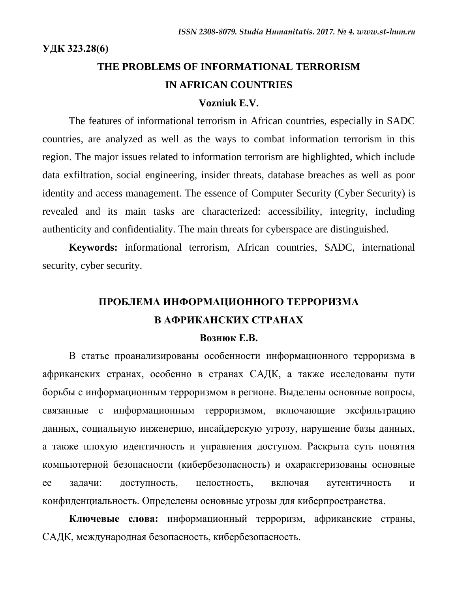# **THE PROBLEMS OF INFORMATIONAL TERRORISM IN AFRICAN COUNTRIES**

#### **Vozniuk E.V.**

The features of informational terrorism in African countries, especially in SADC countries, are analyzed as well as the ways to combat information terrorism in this region. The major issues related to information terrorism are highlighted, which include data exfiltration, social engineering, insider threats, database breaches as well as poor identity and access management. The essence of Computer Security (Cyber Security) is revealed and its main tasks are characterized: accessibility, integrity, including authenticity and confidentiality. The main threats for cyberspace are distinguished.

**Keywords:** informational terrorism, African countries, SADC, international security, cyber security.

## **ПРОБЛЕМА ИНФОРМАЦИОННОГО ТЕРРОРИЗМА В АФРИКАНСКИХ СТРАНАХ**

#### **Вознюк Е.В.**

В статье проанализированы особенности информационного терроризма в африканских странах, особенно в странах САДК, а также исследованы пути борьбы с информационным терроризмом в регионе. Выделены основные вопросы, связанные с информационным терроризмом, включающие эксфильтрацию данных, социальную инженерию, инсайдерскую угрозу, нарушение базы данных, а также плохую идентичность и управления доступом. Раскрыта суть понятия компьютерной безопасности (кибербезопасность) и охарактеризованы основные ее задачи: доступность, целостность, включая аутентичность и конфиденциальность. Определены основные угрозы для киберпространства.

**Ключевые слова:** информационный терроризм, африканские страны, САДК, международная безопасность, кибербезопасность.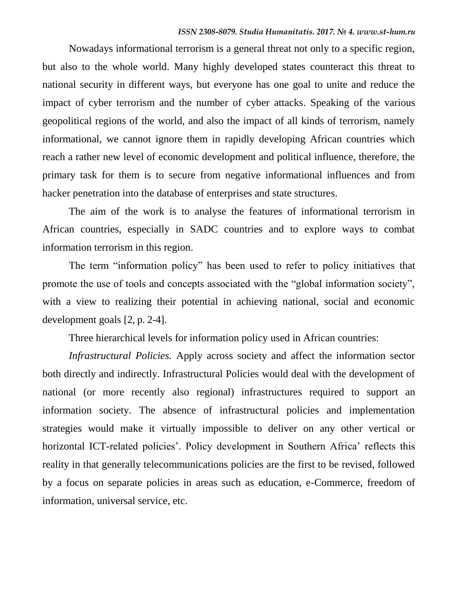Nowadays informational terrorism is a general threat not only to a specific region, but also to the whole world. Many highly developed states counteract this threat to national security in different ways, but everyone has one goal to unite and reduce the impact of cyber terrorism and the number of cyber attacks. Speaking of the various geopolitical regions of the world, and also the impact of all kinds of terrorism, namely informational, we cannot ignore them in rapidly developing African countries which reach a rather new level of economic development and political influence, therefore, the primary task for them is to secure from negative informational influences and from hacker penetration into the database of enterprises and state structures.

The aim of the work is to analyse the features of informational terrorism in African countries, especially in SADC countries and to explore ways to combat information terrorism in this region.

The term "information policy" has been used to refer to policy initiatives that promote the use of tools and concepts associated with the "global information society", with a view to realizing their potential in achieving national, social and economic development goals [2, p. 2-4].

Three hierarchical levels for information policy used in African countries:

*Infrastructural Policies.* Apply across society and affect the information sector both directly and indirectly. Infrastructural Policies would deal with the development of national (or more recently also regional) infrastructures required to support an information society. The absence of infrastructural policies and implementation strategies would make it virtually impossible to deliver on any other vertical or horizontal ICT-related policies'. Policy development in Southern Africa' reflects this reality in that generally telecommunications policies are the first to be revised, followed by a focus on separate policies in areas such as education, e-Commerce, freedom of information, universal service, etc.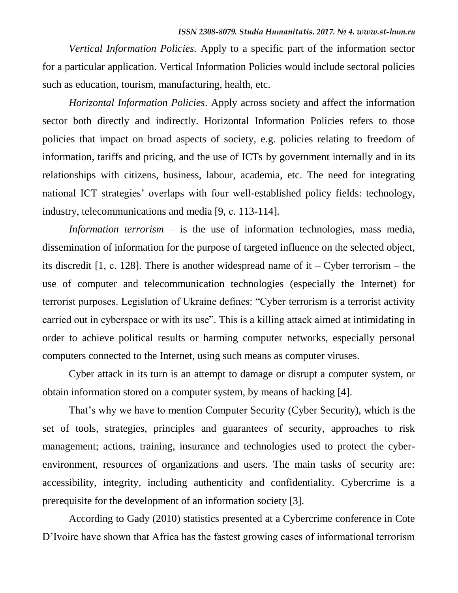*Vertical Information Policies.* Apply to a specific part of the information sector for a particular application. Vertical Information Policies would include sectoral policies such as education, tourism, manufacturing, health, etc.

*Horizontal Information Policies*. Apply across society and affect the information sector both directly and indirectly. Horizontal Information Policies refers to those policies that impact on broad aspects of society, e.g. policies relating to freedom of information, tariffs and pricing, and the use of ICTs by government internally and in its relationships with citizens, business, labour, academia, etc. The need for integrating national ICT strategies' overlaps with four well-established policy fields: technology, industry, telecommunications and media [9, с. 113-114].

*Information terrorism* – is the use of information technologies, mass media, dissemination of information for the purpose of targeted influence on the selected object, its discredit [1, c. 128]. There is another widespread name of it – Cyber terrorism – the use of computer and telecommunication technologies (especially the Internet) for terrorist purposes. Legislation of Ukraine defines: "Cyber terrorism is a terrorist activity carried out in cyberspace or with its use". This is a killing attack aimed at intimidating in order to achieve political results or harming computer networks, especially personal computers connected to the Internet, using such means as computer viruses.

Cyber attack in its turn is an attempt to damage or disrupt a computer system, or obtain information stored on a computer system, by means of hacking [4].

That's why we have to mention Computer Security (Cyber Security), which is the set of tools, strategies, principles and guarantees of security, approaches to risk management; actions, training, insurance and technologies used to protect the cyberenvironment, resources of organizations and users. The main tasks of security are: accessibility, integrity, including authenticity and confidentiality. Cybercrime is a prerequisite for the development of an information society [3].

According to Gady (2010) statistics presented at a Cybercrime conference in Cote D'Ivoire have shown that Africa has the fastest growing cases of informational terrorism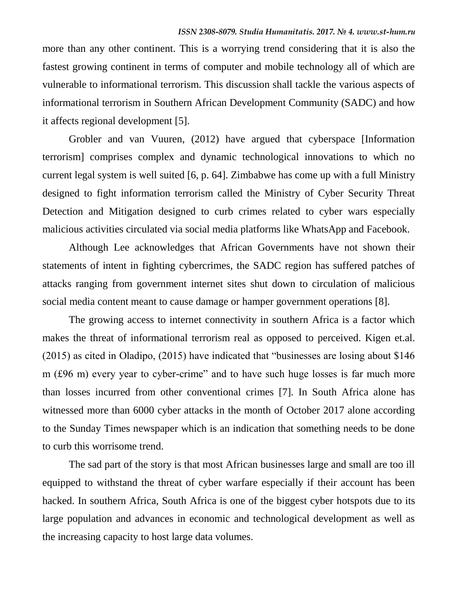more than any other continent. This is a worrying trend considering that it is also the fastest growing continent in terms of computer and mobile technology all of which are vulnerable to informational terrorism. This discussion shall tackle the various aspects of informational terrorism in Southern African Development Community (SADC) and how it affects regional development [5].

Grobler and van Vuuren, (2012) have argued that cyberspace [Information terrorism] comprises complex and dynamic technological innovations to which no current legal system is well suited [6, p. 64]. Zimbabwe has come up with a full Ministry designed to fight information terrorism called the Ministry of Cyber Security Threat Detection and Mitigation designed to curb crimes related to cyber wars especially malicious activities circulated via social media platforms like WhatsApp and Facebook.

Although Lee acknowledges that African Governments have not shown their statements of intent in fighting cybercrimes, the SADC region has suffered patches of attacks ranging from government internet sites shut down to circulation of malicious social media content meant to cause damage or hamper government operations [8].

The growing access to internet connectivity in southern Africa is a factor which makes the threat of informational terrorism real as opposed to perceived. Kigen et.al. (2015) as cited in Oladipo, (2015) have indicated that "businesses are losing about \$146 m (£96 m) every year to cyber-crime" and to have such huge losses is far much more than losses incurred from other conventional crimes [7]. In South Africa alone has witnessed more than 6000 cyber attacks in the month of October 2017 alone according to the Sunday Times newspaper which is an indication that something needs to be done to curb this worrisome trend.

The sad part of the story is that most African businesses large and small are too ill equipped to withstand the threat of cyber warfare especially if their account has been hacked. In southern Africa, South Africa is one of the biggest cyber hotspots due to its large population and advances in economic and technological development as well as the increasing capacity to host large data volumes.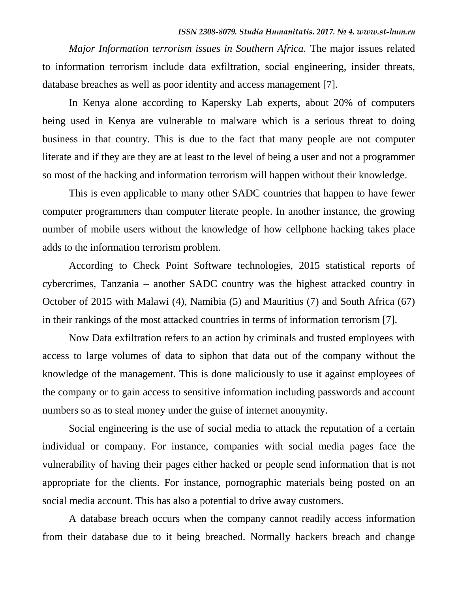*Major Information terrorism issues in Southern Africa. The major issues related* to information terrorism include data exfiltration, social engineering, insider threats, database breaches as well as poor identity and access management [7].

In Kenya alone according to Kapersky Lab experts, about 20% of computers being used in Kenya are vulnerable to malware which is a serious threat to doing business in that country. This is due to the fact that many people are not computer literate and if they are they are at least to the level of being a user and not a programmer so most of the hacking and information terrorism will happen without their knowledge.

This is even applicable to many other SADC countries that happen to have fewer computer programmers than computer literate people. In another instance, the growing number of mobile users without the knowledge of how cellphone hacking takes place adds to the information terrorism problem.

According to Check Point Software technologies, 2015 statistical reports of cybercrimes, Tanzania – another SADC country was the highest attacked country in October of 2015 with Malawi (4), Namibia (5) and Mauritius (7) and South Africa (67) in their rankings of the most attacked countries in terms of information terrorism [7].

Now Data exfiltration refers to an action by criminals and trusted employees with access to large volumes of data to siphon that data out of the company without the knowledge of the management. This is done maliciously to use it against employees of the company or to gain access to sensitive information including passwords and account numbers so as to steal money under the guise of internet anonymity.

Social engineering is the use of social media to attack the reputation of a certain individual or company. For instance, companies with social media pages face the vulnerability of having their pages either hacked or people send information that is not appropriate for the clients. For instance, pornographic materials being posted on an social media account. This has also a potential to drive away customers.

A database breach occurs when the company cannot readily access information from their database due to it being breached. Normally hackers breach and change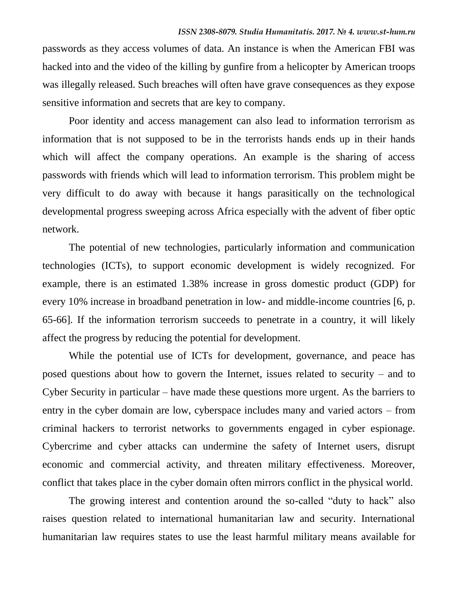passwords as they access volumes of data. An instance is when the American FBI was hacked into and the video of the killing by gunfire from a helicopter by American troops was illegally released. Such breaches will often have grave consequences as they expose sensitive information and secrets that are key to company.

Poor identity and access management can also lead to information terrorism as information that is not supposed to be in the terrorists hands ends up in their hands which will affect the company operations. An example is the sharing of access passwords with friends which will lead to information terrorism. This problem might be very difficult to do away with because it hangs parasitically on the technological developmental progress sweeping across Africa especially with the advent of fiber optic network.

The potential of new technologies, particularly information and communication technologies (ICTs), to support economic development is widely recognized. For example, there is an estimated 1.38% increase in gross domestic product (GDP) for every 10% increase in broadband penetration in low- and middle-income countries [6, p. 65-66]. If the information terrorism succeeds to penetrate in a country, it will likely affect the progress by reducing the potential for development.

While the potential use of ICTs for development, governance, and peace has posed questions about how to govern the Internet, issues related to security – and to Cyber Security in particular – have made these questions more urgent. As the barriers to entry in the cyber domain are low, cyberspace includes many and varied actors – from criminal hackers to terrorist networks to governments engaged in cyber espionage. Cybercrime and cyber attacks can undermine the safety of Internet users, disrupt economic and commercial activity, and threaten military effectiveness. Moreover, conflict that takes place in the cyber domain often mirrors conflict in the physical world.

The growing interest and contention around the so-called "duty to hack" also raises question related to international humanitarian law and security. International humanitarian law requires states to use the least harmful military means available for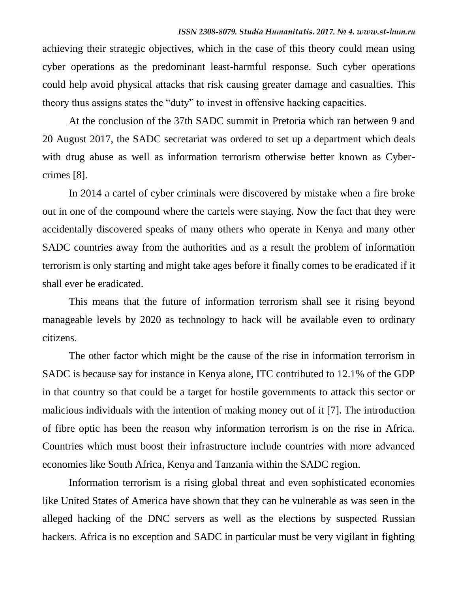achieving their strategic objectives, which in the case of this theory could mean using cyber operations as the predominant least-harmful response. Such cyber operations could help avoid physical attacks that risk causing greater damage and casualties. This theory thus assigns states the "duty" to invest in offensive hacking capacities.

At the conclusion of the 37th SADC summit in Pretoria which ran between 9 and 20 August 2017, the SADC secretariat was ordered to set up a department which deals with drug abuse as well as information terrorism otherwise better known as Cybercrimes [8].

In 2014 a cartel of cyber criminals were discovered by mistake when a fire broke out in one of the compound where the cartels were staying. Now the fact that they were accidentally discovered speaks of many others who operate in Kenya and many other SADC countries away from the authorities and as a result the problem of information terrorism is only starting and might take ages before it finally comes to be eradicated if it shall ever be eradicated.

This means that the future of information terrorism shall see it rising beyond manageable levels by 2020 as technology to hack will be available even to ordinary citizens.

The other factor which might be the cause of the rise in information terrorism in SADC is because say for instance in Kenya alone, ITC contributed to 12.1% of the GDP in that country so that could be a target for hostile governments to attack this sector or malicious individuals with the intention of making money out of it [7]. The introduction of fibre optic has been the reason why information terrorism is on the rise in Africa. Countries which must boost their infrastructure include countries with more advanced economies like South Africa, Kenya and Tanzania within the SADC region.

Information terrorism is a rising global threat and even sophisticated economies like United States of America have shown that they can be vulnerable as was seen in the alleged hacking of the DNC servers as well as the elections by suspected Russian hackers. Africa is no exception and SADC in particular must be very vigilant in fighting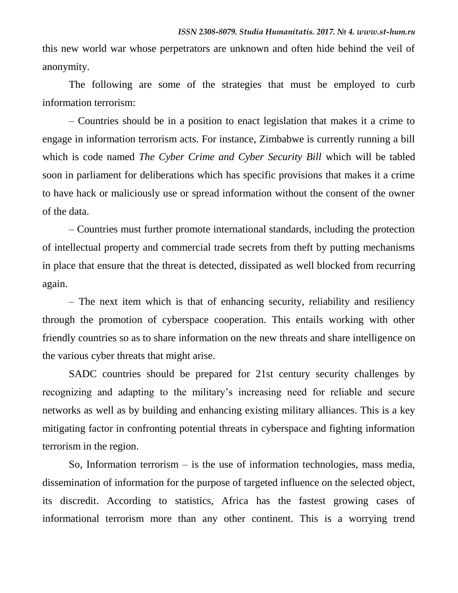this new world war whose perpetrators are unknown and often hide behind the veil of anonymity.

The following are some of the strategies that must be employed to curb information terrorism:

– Countries should be in a position to enact legislation that makes it a crime to engage in information terrorism acts. For instance, Zimbabwe is currently running a bill which is code named *The Cyber Crime and Cyber Security Bill* which will be tabled soon in parliament for deliberations which has specific provisions that makes it a crime to have hack or maliciously use or spread information without the consent of the owner of the data.

– Countries must further promote international standards, including the protection of intellectual property and commercial trade secrets from theft by putting mechanisms in place that ensure that the threat is detected, dissipated as well blocked from recurring again.

– The next item which is that of enhancing security, reliability and resiliency through the promotion of cyberspace cooperation. This entails working with other friendly countries so as to share information on the new threats and share intelligence on the various cyber threats that might arise.

SADC countries should be prepared for 21st century security challenges by recognizing and adapting to the military's increasing need for reliable and secure networks as well as by building and enhancing existing military alliances. This is a key mitigating factor in confronting potential threats in cyberspace and fighting information terrorism in the region.

So, Information terrorism  $-$  is the use of information technologies, mass media, dissemination of information for the purpose of targeted influence on the selected object, its discredit. According to statistics, Africa has the fastest growing cases of informational terrorism more than any other continent. This is a worrying trend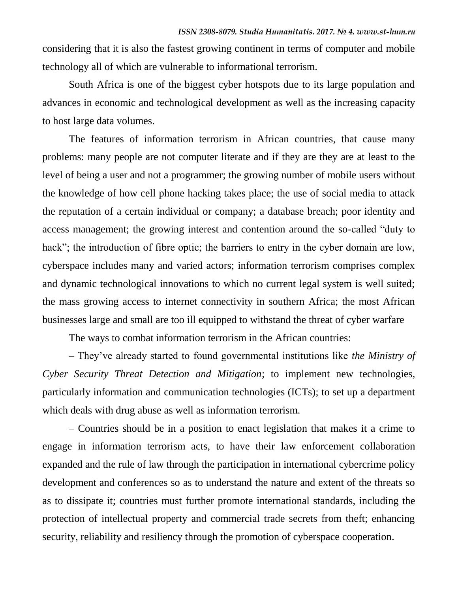considering that it is also the fastest growing continent in terms of computer and mobile technology all of which are vulnerable to informational terrorism.

South Africa is one of the biggest cyber hotspots due to its large population and advances in economic and technological development as well as the increasing capacity to host large data volumes.

The features of information terrorism in African countries, that cause many problems: many people are not computer literate and if they are they are at least to the level of being a user and not a programmer; the growing number of mobile users without the knowledge of how cell phone hacking takes place; the use of social media to attack the reputation of a certain individual or company; a database breach; poor identity and access management; the growing interest and contention around the so-called "duty to hack"; the introduction of fibre optic; the barriers to entry in the cyber domain are low, cyberspace includes many and varied actors; information terrorism comprises complex and dynamic technological innovations to which no current legal system is well suited; the mass growing access to internet connectivity in southern Africa; the most African businesses large and small are too ill equipped to withstand the threat of cyber warfare

The ways to combat information terrorism in the African countries:

– They've already started to found governmental institutions like *the Ministry of Cyber Security Threat Detection and Mitigation*; to implement new technologies, particularly information and communication technologies (ICTs); to set up a department which deals with drug abuse as well as information terrorism.

– Countries should be in a position to enact legislation that makes it a crime to engage in information terrorism acts, to have their law enforcement collaboration expanded and the rule of law through the participation in international cybercrime policy development and conferences so as to understand the nature and extent of the threats so as to dissipate it; countries must further promote international standards, including the protection of intellectual property and commercial trade secrets from theft; enhancing security, reliability and resiliency through the promotion of cyberspace cooperation.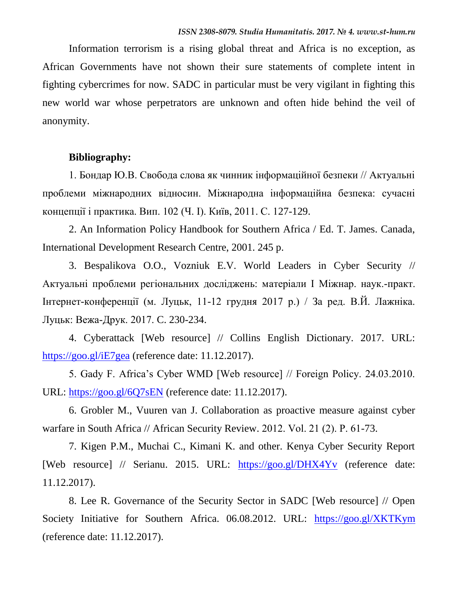Information terrorism is a rising global threat and Africa is no exception, as African Governments have not shown their sure statements of complete intent in fighting cybercrimes for now. SADC in particular must be very vigilant in fighting this new world war whose perpetrators are unknown and often hide behind the veil of anonymity.

#### **Bibliography:**

1. Бондар Ю.В. Свобода слова як чинник інформаційної безпеки // Актуальні проблеми міжнародних відносин. Міжнародна інформаційна безпека: сучасні концепції і практика. Вип. 102 (Ч. І). Київ, 2011. C. 127-129.

2. An Information Policy Handbook for Southern Africa / Ed. T. James. Canada, International Development Research Centre, 2001. 245 p.

3. Bespalikova O.O., Vozniuk E.V. World Leaders in Cyber Security // Актуальні проблеми регіональних досліджень: матеріали І Міжнар. наук.-практ. Інтернет-конференції (м. Луцьк, 11-12 грудня 2017 р.) / За ред. В.Й. Лажніка. Луцьк: Вежа-Друк. 2017. C. 230-234.

4. Cyberattack [Web resource] // Collins English Dictionary. 2017. URL: <https://goo.gl/iE7gea> (reference date: 11.12.2017).

5. Gady F. Africa's Cyber WMD [Web resource] // Foreign Policy. 24.03.2010. URL:<https://goo.gl/6Q7sEN> (reference date: 11.12.2017).

6. Grobler M., Vuuren van J. Collaboration as proactive measure against cyber warfare in South Africa // African Security Review. 2012. Vol. 21 (2). Р. 61-73.

7. Kigen P.M., Muchai C., Kimani K. and other. Kenya Cyber Security Report [Web resource] // Serianu. 2015. URL: <https://goo.gl/DHX4Yv> (reference date: 11.12.2017).

8. Lee R. Governance of the Security Sector in SADC [Web resource] // Open Society Initiative for Southern Africa. 06.08.2012. URL: <https://goo.gl/XKTKym> (reference date: 11.12.2017).